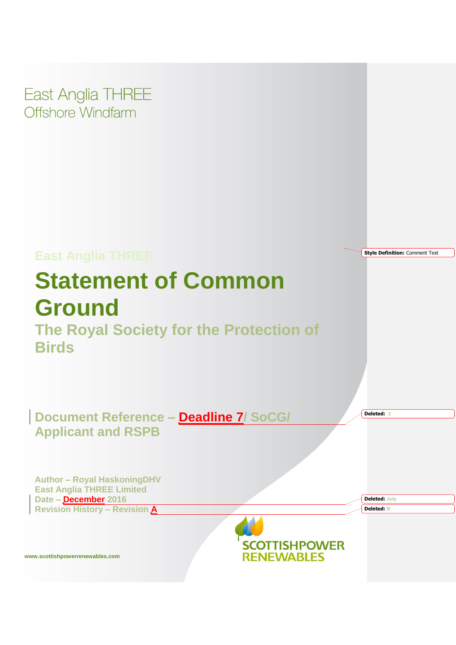East Anglia THREE Offshore Windfarm

# **East Anglia THREE Style Definition:** Comment Text **Statement of Common Ground The Royal Society for the Protection of Birds Document Reference – Deadline 7/ SoCG/ Deleted: 2 Applicant and RSPB Author – Royal HaskoningDHV East Anglia THREE Limited Date – December 2016 Deleted: July Revision History – Revision A Deleted: BSCOTTISHPOWER RENEWABLES www.scottishpowerrenewables.com**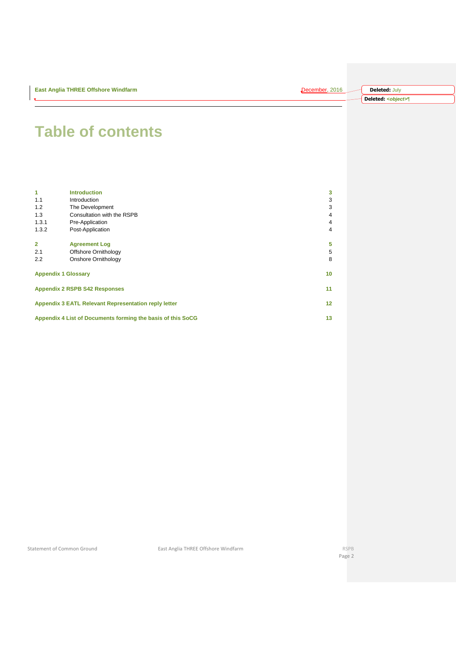| <b>East Anglia THREE Offshore Windfarm</b> | December, 2016 | <b>Deleted: July</b>        |
|--------------------------------------------|----------------|-----------------------------|
|                                            |                | Deleted: <object>¶</object> |

# **Table of contents**

| $\blacktriangleleft$       | <b>Introduction</b>                                         | 3               |
|----------------------------|-------------------------------------------------------------|-----------------|
| 1.1                        | Introduction                                                | 3               |
| 1.2                        | The Development                                             | 3               |
| 1.3                        | Consultation with the RSPB                                  | $\overline{4}$  |
| 1.3.1                      | Pre-Application                                             | 4               |
| 1.3.2                      | Post-Application                                            | $\overline{4}$  |
| $\overline{2}$             | <b>Agreement Log</b>                                        | 5               |
| 2.1                        | Offshore Ornithology                                        | 5               |
| 2.2                        | Onshore Ornithology                                         | 8               |
| <b>Appendix 1 Glossary</b> |                                                             | 10 <sup>1</sup> |
|                            | <b>Appendix 2 RSPB S42 Responses</b>                        | 11              |
|                            | <b>Appendix 3 EATL Relevant Representation reply letter</b> | 12 <sub>2</sub> |
|                            | Appendix 4 List of Documents forming the basis of this SoCG | 13              |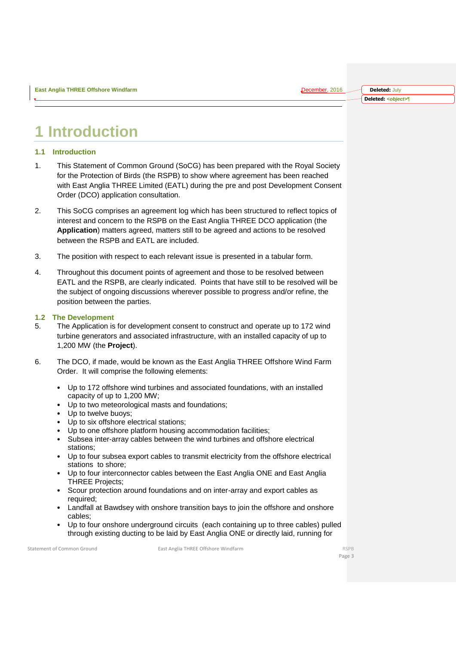## <span id="page-2-0"></span>**1 Introduction**

### <span id="page-2-1"></span>**1.1 Introduction**

- 1. This Statement of Common Ground (SoCG) has been prepared with the Royal Society for the Protection of Birds (the RSPB) to show where agreement has been reached with East Anglia THREE Limited (EATL) during the pre and post Development Consent Order (DCO) application consultation.
- 2. This SoCG comprises an agreement log which has been structured to reflect topics of interest and concern to the RSPB on the East Anglia THREE DCO application (the **Application**) matters agreed, matters still to be agreed and actions to be resolved between the RSPB and EATL are included.
- 3. The position with respect to each relevant issue is presented in a tabular form.
- 4. Throughout this document points of agreement and those to be resolved between EATL and the RSPB, are clearly indicated. Points that have still to be resolved will be the subject of ongoing discussions wherever possible to progress and/or refine, the position between the parties.

### <span id="page-2-2"></span>**1.2 The Development**

- 5. The Application is for development consent to construct and operate up to 172 wind turbine generators and associated infrastructure, with an installed capacity of up to 1,200 MW (the **Project**).
- 6. The DCO, if made, would be known as the East Anglia THREE Offshore Wind Farm Order. It will comprise the following elements:
	- Up to 172 offshore wind turbines and associated foundations, with an installed capacity of up to 1,200 MW;
	- Up to two meteorological masts and foundations;
	- Up to twelve buoys;
	- Up to six offshore electrical stations;
	- Up to one offshore platform housing accommodation facilities;
	- Subsea inter-array cables between the wind turbines and offshore electrical stations;
	- Up to four subsea export cables to transmit electricity from the offshore electrical stations to shore;
	- Up to four interconnector cables between the East Anglia ONE and East Anglia THREE Projects;
	- Scour protection around foundations and on inter-array and export cables as required;
	- Landfall at Bawdsey with onshore transition bays to join the offshore and onshore cables;
	- Up to four onshore underground circuits (each containing up to three cables) pulled through existing ducting to be laid by East Anglia ONE or directly laid, running for

Statement of Common Ground **East Anglia THREE Offshore Windfarm** RSPB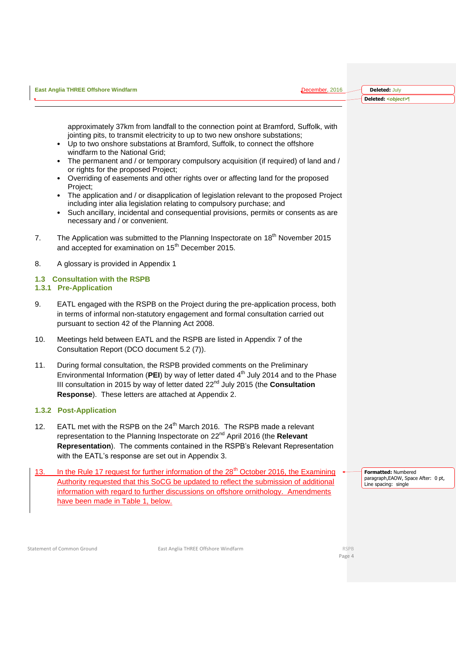| approximately 37km from landfall to the connection point at Bramford, Suffolk, with<br>jointing pits, to transmit electricity to up to two new onshore substations;<br>• Up to two onshore substations at Bramford, Suffolk, to connect the offshore<br>windfarm to the National Grid;<br>The permanent and / or temporary compulsory acquisition (if required) of land and /<br>or rights for the proposed Project;<br>Overriding of easements and other rights over or affecting land for the proposed<br>Project;<br>The application and / or disapplication of legislation relevant to the proposed Project<br>including inter alia legislation relating to compulsory purchase; and<br>Such ancillary, incidental and consequential provisions, permits or consents as are<br>necessary and / or convenient.<br>The Application was submitted to the Planning Inspectorate on 18 <sup>th</sup> November 2015<br>$7_{\scriptscriptstyle{\sim}}$<br>and accepted for examination on 15 <sup>th</sup> December 2015.<br>A glossary is provided in Appendix 1<br>8. |  |  |
|----------------------------------------------------------------------------------------------------------------------------------------------------------------------------------------------------------------------------------------------------------------------------------------------------------------------------------------------------------------------------------------------------------------------------------------------------------------------------------------------------------------------------------------------------------------------------------------------------------------------------------------------------------------------------------------------------------------------------------------------------------------------------------------------------------------------------------------------------------------------------------------------------------------------------------------------------------------------------------------------------------------------------------------------------------------------|--|--|
|                                                                                                                                                                                                                                                                                                                                                                                                                                                                                                                                                                                                                                                                                                                                                                                                                                                                                                                                                                                                                                                                      |  |  |
|                                                                                                                                                                                                                                                                                                                                                                                                                                                                                                                                                                                                                                                                                                                                                                                                                                                                                                                                                                                                                                                                      |  |  |
|                                                                                                                                                                                                                                                                                                                                                                                                                                                                                                                                                                                                                                                                                                                                                                                                                                                                                                                                                                                                                                                                      |  |  |

### <span id="page-3-0"></span>**1.3 Consultation with the RSPB**

### <span id="page-3-1"></span>**1.3.1 Pre-Application**

9. EATL engaged with the RSPB on the Project during the pre-application process, both in terms of informal non-statutory engagement and formal consultation carried out pursuant to section 42 of the Planning Act 2008.

**East Anglia THREE Offshore Windfarm** December, 2016

- 10. Meetings held between EATL and the RSPB are listed in Appendix 7 of the Consultation Report (DCO document 5.2 (7)).
- 11. During formal consultation, the RSPB provided comments on the Preliminary Environmental Information (PEI) by way of letter dated 4<sup>th</sup> July 2014 and to the Phase III consultation in 2015 by way of letter dated 22nd July 2015 (the **Consultation Response**). These letters are attached at Appendix 2.

### <span id="page-3-2"></span>**1.3.2 Post-Application**

- 12. EATL met with the RSPB on the 24<sup>th</sup> March 2016. The RSPB made a relevant representation to the Planning Inspectorate on 22nd April 2016 (the **Relevant Representation**). The comments contained in the RSPB's Relevant Representation with the EATL's response are set out in Appendix 3.
- 13. In the Rule 17 request for further information of the 28<sup>th</sup> October 2016, the Examining Authority requested that this SoCG be updated to reflect the submission of additional information with regard to further discussions on offshore ornithology. Amendments have been made in Table 1, below.

**Formatted:** Numbered paragraph,EAOW, Space After: 0 pt, Line spacing: single

**Deleted:** July **Deleted:** *<object>*¶

Statement of Common Ground **East Anglia THREE Offshore Windfarm** RSPB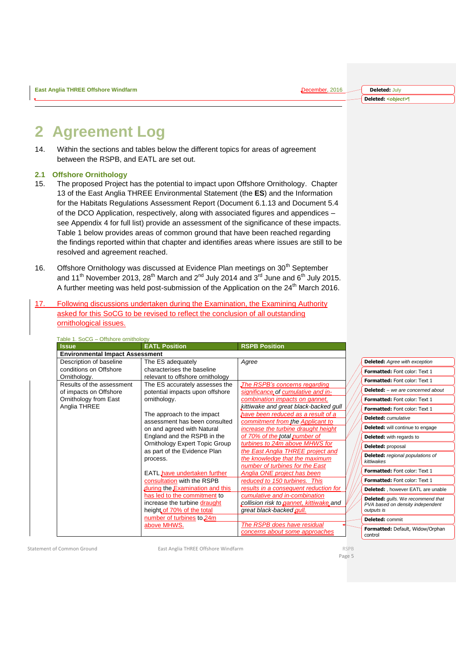**Deleted:** July **Deleted:** *<object>*¶

### <span id="page-4-0"></span>**2 Agreement Log**

14. Within the sections and tables below the different topics for areas of agreement between the RSPB, and EATL are set out.

### <span id="page-4-1"></span>**2.1 Offshore Ornithology**

- 15. The proposed Project has the potential to impact upon Offshore Ornithology. Chapter 13 of the East Anglia THREE Environmental Statement (the **ES**) and the Information for the Habitats Regulations Assessment Report (Document 6.1.13 and Document 5.4 of the DCO Application, respectively, along with associated figures and appendices – see Appendix 4 for full list) provide an assessment of the significance of these impacts. Table 1 below provides areas of common ground that have been reached regarding the findings reported within that chapter and identifies areas where issues are still to be resolved and agreement reached.
- 16. Offshore Ornithology was discussed at Evidence Plan meetings on 30<sup>th</sup> September and 11<sup>th</sup> November 2013, 28<sup>th</sup> March and 2<sup>nd</sup> July 2014 and 3<sup>rd</sup> June and 6<sup>th</sup> July 2015. A further meeting was held post-submission of the Application on the 24<sup>th</sup> March 2016.
- 17. Following discussions undertaken during the Examination, the Examining Authority asked for this SoCG to be revised to reflect the conclusion of all outstanding ornithological issues.

| <b>Issue</b>                           | <b>EATL Position</b>                  | <b>RSPB Position</b>                    |                                          |
|----------------------------------------|---------------------------------------|-----------------------------------------|------------------------------------------|
| <b>Environmental Impact Assessment</b> |                                       |                                         |                                          |
| Description of baseline                | The ES adequately                     | Agree                                   | <b>Deleted:</b> Agree with exception     |
| conditions on Offshore                 | characterises the baseline            |                                         | Formatted: Font color: Text 1            |
| Ornithology.                           | relevant to offshore ornithology      |                                         | Formatted: Font color: Text 1            |
| Results of the assessment              | The ES accurately assesses the        | The RSPB's concerns regarding           | <b>Deleted:</b> - we are concerned about |
| of impacts on Offshore                 | potential impacts upon offshore       | significance of cumulative and in-      |                                          |
| Ornithology from East                  | ornithology.                          | combination impacts on gannet,          | <b>Formatted:</b> Font color: Text 1     |
| Anglia THREE                           |                                       | kittiwake and great black-backed gull   | Formatted: Font color: Text 1            |
|                                        | The approach to the impact            | have been reduced as a result of a      | <b>Deleted:</b> <i>cumulative</i>        |
|                                        | assessment has been consulted         | commitment from the Applicant to        |                                          |
|                                        | on and agreed with Natural            | increase the turbine draught height     | <b>Deleted:</b> will continue to engage  |
|                                        | England and the RSPB in the           | of 70% of the total number of           | <b>Deleted:</b> with regards to          |
|                                        | <b>Ornithology Expert Topic Group</b> | turbines to 24m above MHWS for          | Deleted: proposal                        |
|                                        | as part of the Evidence Plan          | the East Anglia THREE project and       | <b>Deleted:</b> regional populations of  |
|                                        | process.                              | the knowledge that the maximum          | kittiwakes                               |
|                                        |                                       | number of turbines for the East         | Formatted: Font color: Text 1            |
|                                        | EATL have undertaken further          | Anglia ONE project has been             |                                          |
|                                        | consultation with the RSPB            | reduced to 150 turbines. This           | Formatted: Font color: Text 1            |
|                                        | during the Examination and this       | results in a consequent reduction for   | Deleted: , however EATL are unable       |
|                                        | has led to the commitment to          | cumulative and in-combination           | Deleted: gulls. We recommend that        |
|                                        | increase the turbine draught          | collision risk to gannet, kittiwake and | PVA based on density independent         |
|                                        | height of 70% of the total            | great black-backed gull.                | outputs is                               |
|                                        | number of turbines to 24m             |                                         | <b>Deleted: commit</b>                   |
|                                        | above MHWS.                           | The RSPB does have residual             | Formatted: Default, Widow/Orphan         |
|                                        |                                       | concerns about some approaches          | control                                  |

Table 1. SoCG – Offshore ornithology

Statement of Common Ground **East Anglia THREE Offshore Windfarm** RSPB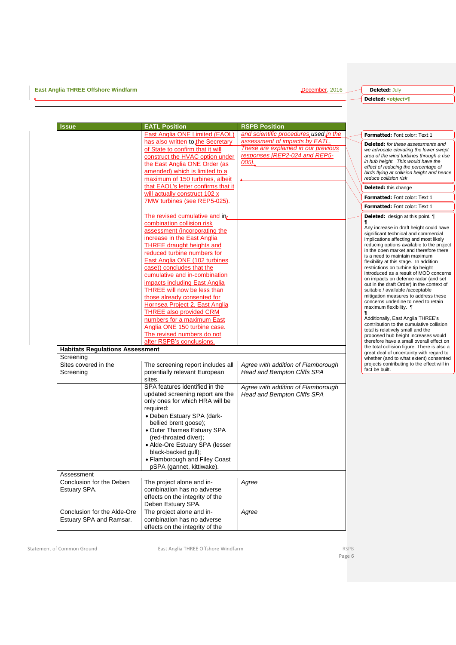**East Anglia THREE Offshore Windfarm** December, 2016

**Deleted:** July **Deleted:** *<object>*¶

| ssue                                                   | <b>EATL Position</b>                                                                                                                                                 | <b>RSPB Position</b>                                                                                   |                                                                                                                                                                                                                                                 |
|--------------------------------------------------------|----------------------------------------------------------------------------------------------------------------------------------------------------------------------|--------------------------------------------------------------------------------------------------------|-------------------------------------------------------------------------------------------------------------------------------------------------------------------------------------------------------------------------------------------------|
|                                                        | <b>East Anglia ONE Limited (EAOL)</b>                                                                                                                                | and scientific procedures used in the                                                                  | Formatted: Font color: Text 1                                                                                                                                                                                                                   |
|                                                        | has also written to the Secretary<br>of State to confirm that it will<br>construct the HVAC option under                                                             | assessment of impacts by EATL.<br>These are explained in our previous<br>responses [REP2-024 and REP5- | <b>Deleted:</b> for these assessments and<br>we advocate elevating the lower swept<br>area of the wind turbines through a rise                                                                                                                  |
|                                                        | the East Anglia ONE Order (as<br>amended) which is limited to a<br>maximum of 150 turbines, albeit                                                                   | $005$ .                                                                                                | in hub height. This would have the<br>effect of reducing the percentage of<br>birds flying at collision height and hence<br>reduce collision risk                                                                                               |
|                                                        | that EAOL's letter confirms that it                                                                                                                                  |                                                                                                        | Deleted: this change                                                                                                                                                                                                                            |
|                                                        | will actually construct 102 x<br>7MW turbines (see REP5-025).                                                                                                        |                                                                                                        | Formatted: Font color: Text 1                                                                                                                                                                                                                   |
|                                                        |                                                                                                                                                                      |                                                                                                        | Formatted: Font color: Text 1                                                                                                                                                                                                                   |
|                                                        | The revised cumulative and in-<br>combination collision risk<br>assessment (incorporating the                                                                        |                                                                                                        | <b>Deleted:</b> design at this point.<br>Any increase in draft height could have<br>significant technical and commercial                                                                                                                        |
|                                                        | increase in the East Anglia<br><b>THREE draught heights and</b><br>reduced turbine numbers for<br><b>East Anglia ONE (102 turbines)</b><br>case)) concludes that the |                                                                                                        | implications affecting and most likely<br>reducing options available to the project<br>in the open market and therefore there<br>is a need to maintain maximum<br>flexibility at this stage. In addition<br>restrictions on turbine tip height  |
|                                                        | cumulative and in-combination<br>impacts including East Anglia<br>THREE will now be less than<br>those already consented for                                         |                                                                                                        | introduced as a result of MOD concerns<br>on impacts on defence radar (and set<br>out in the draft Order) in the context of<br>suitable / available /acceptable<br>mitigation measures to address these<br>concerns underline to need to retain |
|                                                        | Hornsea Project 2. East Anglia<br><b>THREE also provided CRM</b><br>numbers for a maximum East                                                                       |                                                                                                        | maximum flexibility.<br>Additionally, East Anglia THREE's<br>contribution to the cumulative collision                                                                                                                                           |
|                                                        | Anglia ONE 150 turbine case.<br>The revised numbers do not<br>alter RSPB's conclusions.                                                                              |                                                                                                        | total is relatively small and the<br>proposed hub height increases would<br>therefore have a small overall effect on<br>the total collision figure. There is also a                                                                             |
| <b>Habitats Regulations Assessment</b><br>Screening    |                                                                                                                                                                      |                                                                                                        | great deal of uncertainty with regard to                                                                                                                                                                                                        |
| Sites covered in the                                   | The screening report includes all                                                                                                                                    | Agree with addition of Flamborough                                                                     | whether (and to what extent) consented<br>projects contributing to the effect will in                                                                                                                                                           |
| Screening                                              | potentially relevant European<br>sites.                                                                                                                              | Head and Bempton Cliffs SPA                                                                            | fact be built.                                                                                                                                                                                                                                  |
|                                                        | SPA features identified in the<br>updated screening report are the<br>only ones for which HRA will be<br>required:<br>• Deben Estuary SPA (dark-                     | Agree with addition of Flamborough<br><b>Head and Bempton Cliffs SPA</b>                               |                                                                                                                                                                                                                                                 |
|                                                        | bellied brent goose);<br>• Outer Thames Estuary SPA<br>(red-throated diver);<br>• Alde-Ore Estuary SPA (lesser                                                       |                                                                                                        |                                                                                                                                                                                                                                                 |
|                                                        | black-backed gull);<br>• Flamborough and Filey Coast<br>pSPA (gannet, kittiwake).                                                                                    |                                                                                                        |                                                                                                                                                                                                                                                 |
| Assessment                                             |                                                                                                                                                                      |                                                                                                        |                                                                                                                                                                                                                                                 |
| Conclusion for the Deben<br>Estuary SPA.               | The project alone and in-<br>combination has no adverse<br>effects on the integrity of the<br>Deben Estuary SPA.                                                     | Agree                                                                                                  |                                                                                                                                                                                                                                                 |
| Conclusion for the Alde-Ore<br>Estuary SPA and Ramsar. | The project alone and in-<br>combination has no adverse<br>effects on the integrity of the                                                                           | Agree                                                                                                  |                                                                                                                                                                                                                                                 |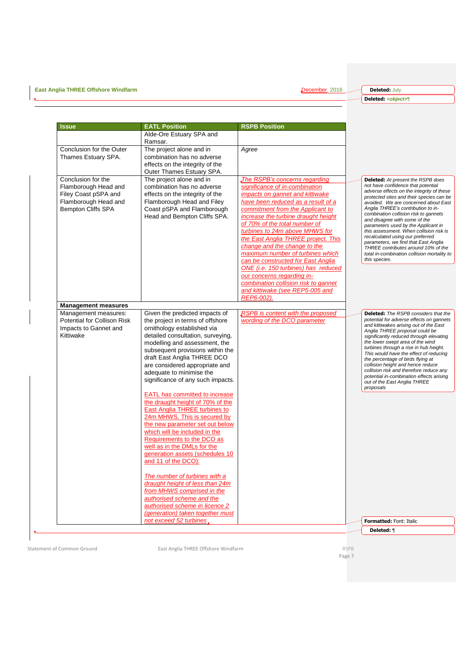**East Anglia THREE Offshore Windfarm** December, 2016

**Deleted:** July **Deleted:** *<object>*¶

| Issue                                                                                                                   | <b>EATL Position</b>                                                                                                                                                                                                                                                                                                           | <b>RSPB Position</b>                                                                                                                                                                                                                                                                                                                                                                                                                                                                                                                                                                    |                                                                                                                                                                                                                                                                                                                                                                                                                                                                                                                                                                                                      |
|-------------------------------------------------------------------------------------------------------------------------|--------------------------------------------------------------------------------------------------------------------------------------------------------------------------------------------------------------------------------------------------------------------------------------------------------------------------------|-----------------------------------------------------------------------------------------------------------------------------------------------------------------------------------------------------------------------------------------------------------------------------------------------------------------------------------------------------------------------------------------------------------------------------------------------------------------------------------------------------------------------------------------------------------------------------------------|------------------------------------------------------------------------------------------------------------------------------------------------------------------------------------------------------------------------------------------------------------------------------------------------------------------------------------------------------------------------------------------------------------------------------------------------------------------------------------------------------------------------------------------------------------------------------------------------------|
|                                                                                                                         | Alde-Ore Estuary SPA and                                                                                                                                                                                                                                                                                                       |                                                                                                                                                                                                                                                                                                                                                                                                                                                                                                                                                                                         |                                                                                                                                                                                                                                                                                                                                                                                                                                                                                                                                                                                                      |
|                                                                                                                         | Ramsar.                                                                                                                                                                                                                                                                                                                        |                                                                                                                                                                                                                                                                                                                                                                                                                                                                                                                                                                                         |                                                                                                                                                                                                                                                                                                                                                                                                                                                                                                                                                                                                      |
| Conclusion for the Outer<br>Thames Estuary SPA.                                                                         | The project alone and in<br>combination has no adverse<br>effects on the integrity of the<br>Outer Thames Estuary SPA.                                                                                                                                                                                                         | Agree                                                                                                                                                                                                                                                                                                                                                                                                                                                                                                                                                                                   |                                                                                                                                                                                                                                                                                                                                                                                                                                                                                                                                                                                                      |
| Conclusion for the<br>Flamborough Head and<br>Filey Coast pSPA and<br>Flamborough Head and<br><b>Bempton Cliffs SPA</b> | The project alone and in<br>combination has no adverse<br>effects on the integrity of the<br>Flamborough Head and Filey<br>Coast pSPA and Flamborough<br>Head and Bempton Cliffs SPA.                                                                                                                                          | The RSPB's concerns regarding<br>significance of in-combination<br>impacts on gannet and kittiwake<br>have been reduced as a result of a<br>commitment from the Applicant to<br>increase the turbine draught height<br>of 70% of the total number of<br>turbines to 24m above MHWS for<br>the East Anglia THREE project. This<br>change and the change to the<br>maximum number of turbines which<br>can be constructed for East Anglia<br>ONE (i.e. 150 turbines) has reduced<br>our concerns regarding in-<br>combination collision risk to gannet<br>and kittiwake (see REP5-005 and | <b>Deleted:</b> At present the RSPB does<br>not have confidence that potential<br>adverse effects on the integrity of these<br>protected sites and their species can be<br>avoided. We are concerned about East<br>Anglia THREE's contribution to in-<br>combination collision risk to gannets<br>and disagree with some of the<br>parameters used by the Applicant in<br>this assessment. When collision risk is<br>recalculated using our preferred<br>parameters, we find that East Anglia<br>THREE contributes around 10% of the<br>total in-combination collision mortality to<br>this species. |
|                                                                                                                         |                                                                                                                                                                                                                                                                                                                                | REP6-002).                                                                                                                                                                                                                                                                                                                                                                                                                                                                                                                                                                              |                                                                                                                                                                                                                                                                                                                                                                                                                                                                                                                                                                                                      |
| <b>Management measures</b><br>Management measures:                                                                      | Given the predicted impacts of                                                                                                                                                                                                                                                                                                 | <b>RSPB</b> is content with the proposed                                                                                                                                                                                                                                                                                                                                                                                                                                                                                                                                                | <b>Deleted:</b> The RSPB considers that the                                                                                                                                                                                                                                                                                                                                                                                                                                                                                                                                                          |
| Potential for Collison Risk<br>Impacts to Gannet and<br>Kittiwake                                                       | the project in terms of offshore<br>ornithology established via<br>detailed consultation, surveying,<br>modelling and assessment, the<br>subsequent provisions within the<br>draft East Anglia THREE DCO<br>are considered appropriate and<br>adequate to minimise the<br>significance of any such impacts.                    | wording of the DCO parameter                                                                                                                                                                                                                                                                                                                                                                                                                                                                                                                                                            | potential for adverse effects on gannets<br>and kittiwakes arising out of the East<br>Anglia THREE proposal could be<br>significantly reduced through elevating<br>the lower swept area of the wind<br>turbines through a rise in hub height.<br>This would have the effect of reducing<br>the percentage of birds flying at<br>collision height and hence reduce<br>collision risk and therefore reduce any<br>potential in-combination effects arising<br>out of the East Anglia THREE<br>proposals                                                                                                |
|                                                                                                                         | EATL has committed to increase<br>the draught height of 70% of the<br>East Anglia THREE turbines to<br>24m MHWS. This is secured by<br>the new parameter set out below<br>which will be included in the<br>Requirements to the DCO as<br>well as in the DMLs for the<br>generation assets (schedules 10<br>and 11 of the DCO): |                                                                                                                                                                                                                                                                                                                                                                                                                                                                                                                                                                                         |                                                                                                                                                                                                                                                                                                                                                                                                                                                                                                                                                                                                      |
|                                                                                                                         | The number of turbines with a<br>draught height of less than 24m<br>from MHWS comprised in the<br>authorised scheme and the<br>authorised scheme in licence 2<br>(generation) taken together must                                                                                                                              |                                                                                                                                                                                                                                                                                                                                                                                                                                                                                                                                                                                         |                                                                                                                                                                                                                                                                                                                                                                                                                                                                                                                                                                                                      |
|                                                                                                                         | not exceed 52 turbines                                                                                                                                                                                                                                                                                                         |                                                                                                                                                                                                                                                                                                                                                                                                                                                                                                                                                                                         | Formatted: Font: Italic                                                                                                                                                                                                                                                                                                                                                                                                                                                                                                                                                                              |
|                                                                                                                         |                                                                                                                                                                                                                                                                                                                                |                                                                                                                                                                                                                                                                                                                                                                                                                                                                                                                                                                                         |                                                                                                                                                                                                                                                                                                                                                                                                                                                                                                                                                                                                      |

 $\bar{\mathbf{v}}$ 

Statement of Common Ground **East Anglia THREE Offshore Windfarm** RSPB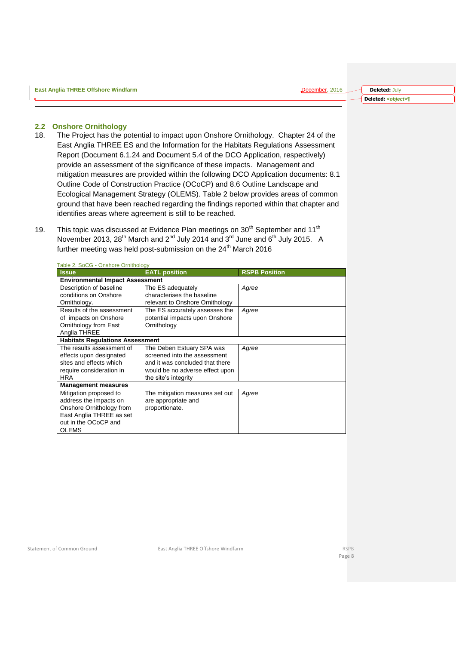#### <span id="page-7-0"></span>**2.2 Onshore Ornithology**

- 18. The Project has the potential to impact upon Onshore Ornithology. Chapter 24 of the East Anglia THREE ES and the Information for the Habitats Regulations Assessment Report (Document 6.1.24 and Document 5.4 of the DCO Application, respectively) provide an assessment of the significance of these impacts. Management and mitigation measures are provided within the following DCO Application documents: 8.1 Outline Code of Construction Practice (OCoCP) and 8.6 Outline Landscape and Ecological Management Strategy (OLEMS). Table 2 below provides areas of common ground that have been reached regarding the findings reported within that chapter and identifies areas where agreement is still to be reached.
- 19. This topic was discussed at Evidence Plan meetings on  $30<sup>th</sup>$  September and 11<sup>th</sup> November 2013, 28<sup>th</sup> March and 2<sup>nd</sup> July 2014 and 3<sup>rd</sup> June and 6<sup>th</sup> July 2015. A further meeting was held post-submission on the  $24<sup>th</sup>$  March 2016

| $\frac{1}{2}$ able 2. $\frac{1}{2}$ $\frac{1}{2}$ $\frac{1}{2}$ $\frac{1}{2}$ $\frac{1}{2}$ $\frac{1}{2}$ $\frac{1}{2}$ $\frac{1}{2}$ $\frac{1}{2}$ $\frac{1}{2}$ $\frac{1}{2}$ |                                 |                      |
|---------------------------------------------------------------------------------------------------------------------------------------------------------------------------------|---------------------------------|----------------------|
| <b>Issue</b>                                                                                                                                                                    | <b>EATL</b> position            | <b>RSPB Position</b> |
| <b>Environmental Impact Assessment</b>                                                                                                                                          |                                 |                      |
| Description of baseline                                                                                                                                                         | The ES adequately               | Agree                |
| conditions on Onshore                                                                                                                                                           | characterises the baseline      |                      |
| Ornithology.                                                                                                                                                                    | relevant to Onshore Ornithology |                      |
| Results of the assessment                                                                                                                                                       | The ES accurately assesses the  | Agree                |
| of impacts on Onshore                                                                                                                                                           | potential impacts upon Onshore  |                      |
| Ornithology from East                                                                                                                                                           | Ornithology                     |                      |
| Anglia THREE                                                                                                                                                                    |                                 |                      |
| <b>Habitats Regulations Assessment</b>                                                                                                                                          |                                 |                      |
| The results assessment of                                                                                                                                                       | The Deben Estuary SPA was       | Agree                |
| effects upon designated                                                                                                                                                         | screened into the assessment    |                      |
| sites and effects which                                                                                                                                                         | and it was concluded that there |                      |
| require consideration in                                                                                                                                                        | would be no adverse effect upon |                      |
| <b>HRA</b>                                                                                                                                                                      | the site's integrity            |                      |
| <b>Management measures</b>                                                                                                                                                      |                                 |                      |
| Mitigation proposed to                                                                                                                                                          | The mitigation measures set out | Agree                |
| address the impacts on                                                                                                                                                          | are appropriate and             |                      |
| Onshore Ornithology from                                                                                                                                                        | proportionate.                  |                      |
| East Anglia THREE as set                                                                                                                                                        |                                 |                      |
| out in the OCoCP and                                                                                                                                                            |                                 |                      |
| <b>OLEMS</b>                                                                                                                                                                    |                                 |                      |

Table 2. SoCG - Onshore Ornithology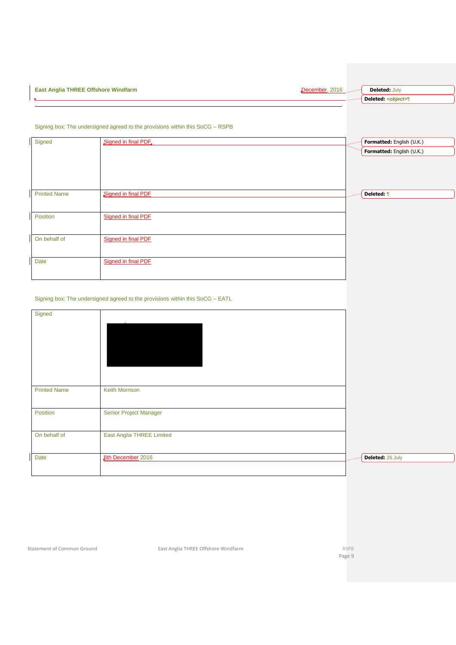| East |  |
|------|--|
|      |  |

| Signed              | Signed in final PDF. | Formatted: English (U.K.) |
|---------------------|----------------------|---------------------------|
|                     |                      | Formatted: English (U.K.) |
|                     |                      |                           |
|                     |                      |                           |
|                     |                      |                           |
| <b>Printed Name</b> | Signed in final PDF  | Deleted: ¶                |
|                     |                      |                           |
|                     |                      |                           |
| Position            | Signed in final PDF  |                           |
|                     |                      |                           |
| On behalf of        | Signed in final PDF  |                           |
|                     |                      |                           |
|                     |                      |                           |
| Date                | Signed in final PDF  |                           |
|                     |                      |                           |

Signing box: The undersigned agreed to the provisions within this SoCG – RSPB

### Signing box: The undersigned agreed to the provisions within this SoCG – EATL

| Signed              |                                  |                  |
|---------------------|----------------------------------|------------------|
| <b>Printed Name</b> | Keith Morrison                   |                  |
| Position            | Senior Project Manager           |                  |
| On behalf of        | <b>East Anglia THREE Limited</b> |                  |
| Date                | <b>6th December 2016</b>         | Deleted: 26 July |

Statement of Common Ground **East Anglia THREE Offshore Windfarm** RSPB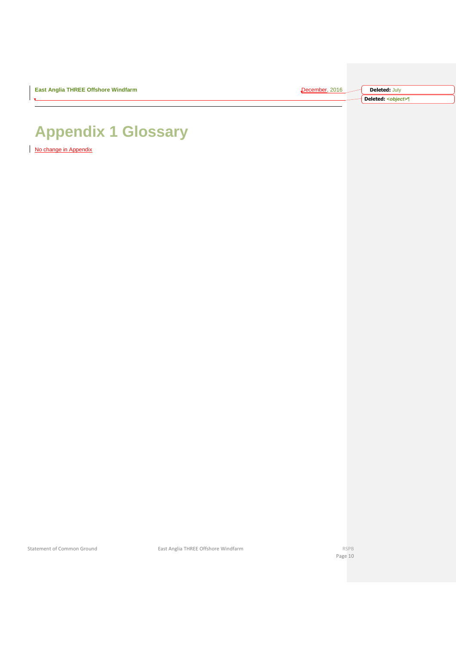| <b>East Anglia THREE Offshore Windfarm</b> | 2016<br>7acamhar 1 | <b>Deleted: July</b>        |
|--------------------------------------------|--------------------|-----------------------------|
|                                            |                    | Deleted: <object>¶</object> |

# <span id="page-9-0"></span>**Appendix 1 Glossary**

No change in Appendix

Statement of Common Ground **East Anglia THREE Offshore Windfarm** RSPB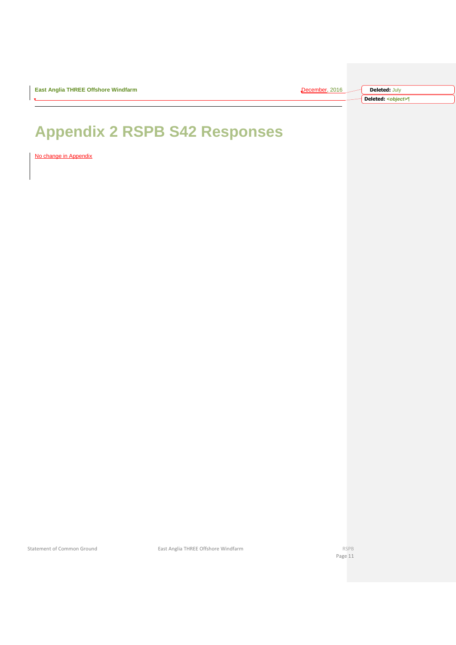| ecember, 2016 | <b>Deleted: July</b>        |
|---------------|-----------------------------|
|               | Deleted: <object>¶</object> |

# <span id="page-10-0"></span>**Appendix 2 RSPB S42 Responses**

No change in Appendix

Statement of Common Ground **East Anglia THREE Offshore Windfarm** RSPB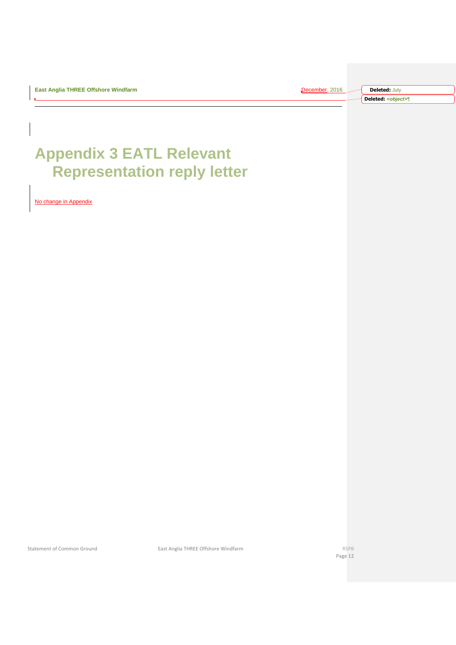| <b>December</b> . 2016. | <b>Deleted: July</b>        |
|-------------------------|-----------------------------|
|                         | Deleted: <object>¶</object> |

# <span id="page-11-0"></span>**Appendix 3 EATL Relevant Representation reply letter**

<span id="page-11-1"></span>No change in Appendix

Statement of Common Ground **East Anglia THREE Offshore Windfarm** RSPB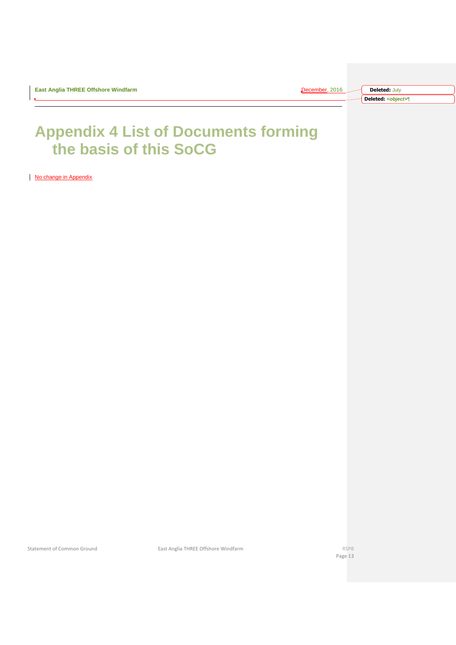| :ember. 2016 | <b>Deleted: July</b>        |
|--------------|-----------------------------|
|              | Deleted: <object>¶</object> |

## **Appendix 4 List of Documents forming the basis of this SoCG**

No change in Appendix

Statement of Common Ground **East Anglia THREE Offshore Windfarm East Anglia THREE Offshore Windfarm RSPB**